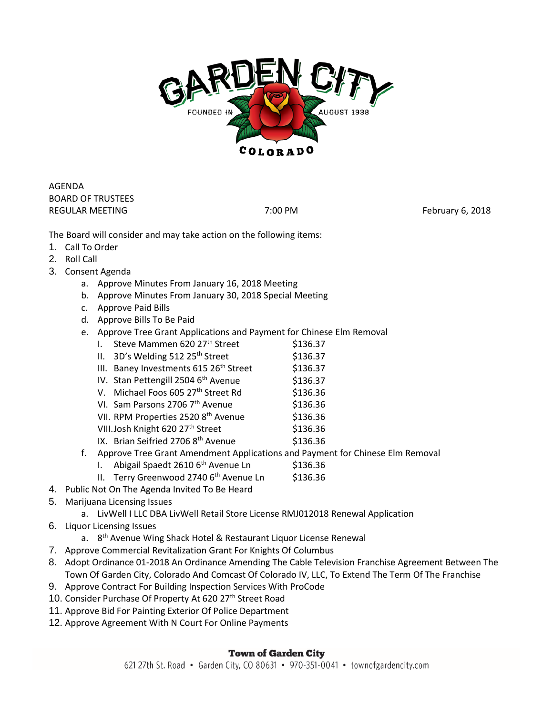

AGENDA BOARD OF TRUSTEES REGULAR MEETING **REGULAR MEETING 7:00 PM** 7:00 PM

The Board will consider and may take action on the following items:

- 1. Call To Order
- 2. Roll Call
- 3. Consent Agenda
	- a. Approve Minutes From January 16, 2018 Meeting
	- b. Approve Minutes From January 30, 2018 Special Meeting
	- c. Approve Paid Bills
	- d. Approve Bills To Be Paid
	- e. Approve Tree Grant Applications and Payment for Chinese Elm Removal
		- I. Steve Mammen  $620$   $27<sup>th</sup>$  Street  $5136.37$
		- II.  $3D's$  Welding 512 25<sup>th</sup> Street  $$136.37$
		- III. Baney Investments  $615 26<sup>th</sup>$  Street  $$136.37$
		- IV. Stan Pettengill 2504 6<sup>th</sup> Avenue \$136.37
		- V. Michael Foos 605  $27<sup>th</sup>$  Street Rd  $$136.36$
		- VI. Sam Parsons 2706  $7<sup>th</sup>$  Avenue  $$136.36$
		- VII. RPM Properties 2520 8<sup>th</sup> Avenue \$136.36
		- VIII.Josh Knight 620 27<sup>th</sup> Street \$136.36
		- IX. Brian Seifried 2706  $8<sup>th</sup>$  Avenue  $$136.36$
	- f. Approve Tree Grant Amendment Applications and Payment for Chinese Elm Removal
		- I. Abigail Spaedt 2610  $6<sup>th</sup>$  Avenue Ln  $$136.36$
		- II. Terry Greenwood 2740  $6<sup>th</sup>$  Avenue Ln \$136.36
- 4. Public Not On The Agenda Invited To Be Heard
- 5. Marijuana Licensing Issues
	- a. LivWell I LLC DBA LivWell Retail Store License RMJ012018 Renewal Application
- 6. Liquor Licensing Issues
	- a. 8<sup>th</sup> Avenue Wing Shack Hotel & Restaurant Liquor License Renewal
- 7. Approve Commercial Revitalization Grant For Knights Of Columbus
- 8. Adopt Ordinance 01-2018 An Ordinance Amending The Cable Television Franchise Agreement Between The Town Of Garden City, Colorado And Comcast Of Colorado IV, LLC, To Extend The Term Of The Franchise
- 9. Approve Contract For Building Inspection Services With ProCode
- 10. Consider Purchase Of Property At 620 27th Street Road
- 11. Approve Bid For Painting Exterior Of Police Department
- 12. Approve Agreement With N Court For Online Payments

## **Town of Garden City**